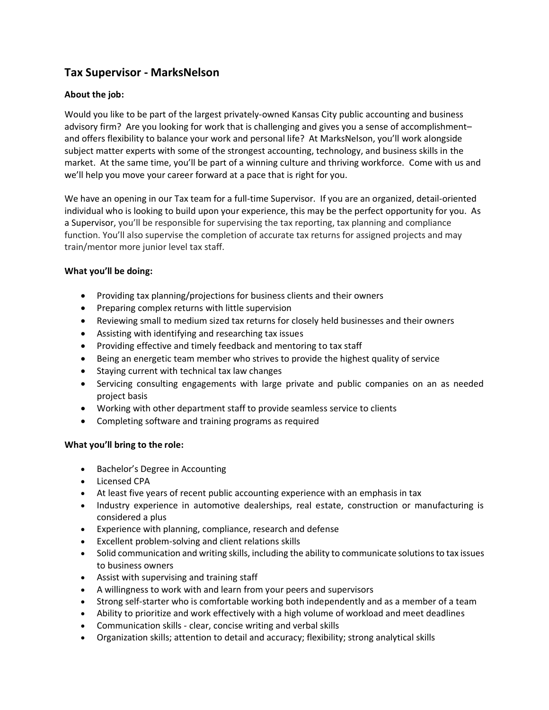# **Tax Supervisor - MarksNelson**

# **About the job:**

Would you like to be part of the largest privately-owned Kansas City public accounting and business advisory firm? Are you looking for work that is challenging and gives you a sense of accomplishment– and offers flexibility to balance your work and personal life? At MarksNelson, you'll work alongside subject matter experts with some of the strongest accounting, technology, and business skills in the market. At the same time, you'll be part of a winning culture and thriving workforce. Come with us and we'll help you move your career forward at a pace that is right for you.

We have an opening in our Tax team for a full-time Supervisor. If you are an organized, detail-oriented individual who is looking to build upon your experience, this may be the perfect opportunity for you. As a Supervisor, you'll be responsible for supervising the tax reporting, tax planning and compliance function. You'll also supervise the completion of accurate tax returns for assigned projects and may train/mentor more junior level tax staff.

## **What you'll be doing:**

- Providing tax planning/projections for business clients and their owners
- Preparing complex returns with little supervision
- Reviewing small to medium sized tax returns for closely held businesses and their owners
- Assisting with identifying and researching tax issues
- Providing effective and timely feedback and mentoring to tax staff
- Being an energetic team member who strives to provide the highest quality of service
- Staying current with technical tax law changes
- Servicing consulting engagements with large private and public companies on an as needed project basis
- Working with other department staff to provide seamless service to clients
- Completing software and training programs as required

## **What you'll bring to the role:**

- Bachelor's Degree in Accounting
- Licensed CPA
- At least five years of recent public accounting experience with an emphasis in tax
- Industry experience in automotive dealerships, real estate, construction or manufacturing is considered a plus
- Experience with planning, compliance, research and defense
- Excellent problem-solving and client relations skills
- Solid communication and writing skills, including the ability to communicate solutions to tax issues to business owners
- Assist with supervising and training staff
- A willingness to work with and learn from your peers and supervisors
- Strong self-starter who is comfortable working both independently and as a member of a team
- Ability to prioritize and work effectively with a high volume of workload and meet deadlines
- Communication skills clear, concise writing and verbal skills
- Organization skills; attention to detail and accuracy; flexibility; strong analytical skills